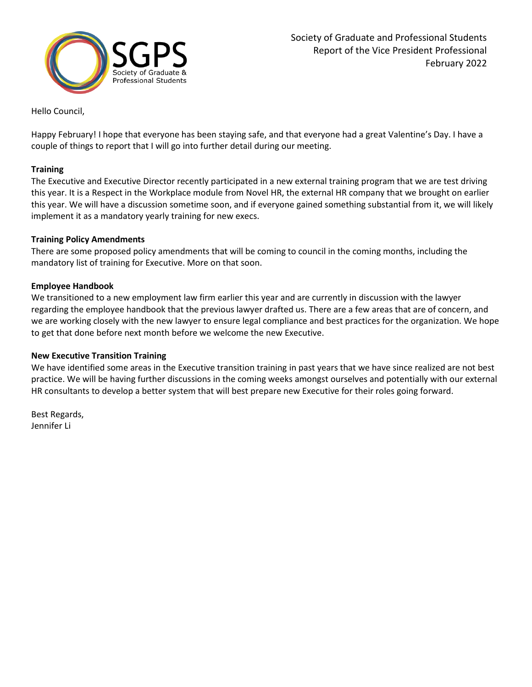

Hello Council,

Happy February! I hope that everyone has been staying safe, and that everyone had a great Valentine's Day. I have a couple of things to report that I will go into further detail during our meeting.

## **Training**

The Executive and Executive Director recently participated in a new external training program that we are test driving this year. It is a Respect in the Workplace module from Novel HR, the external HR company that we brought on earlier this year. We will have a discussion sometime soon, and if everyone gained something substantial from it, we will likely implement it as a mandatory yearly training for new execs.

### **Training Policy Amendments**

There are some proposed policy amendments that will be coming to council in the coming months, including the mandatory list of training for Executive. More on that soon.

## **Employee Handbook**

We transitioned to a new employment law firm earlier this year and are currently in discussion with the lawyer regarding the employee handbook that the previous lawyer drafted us. There are a few areas that are of concern, and we are working closely with the new lawyer to ensure legal compliance and best practices for the organization. We hope to get that done before next month before we welcome the new Executive.

### **New Executive Transition Training**

We have identified some areas in the Executive transition training in past years that we have since realized are not best practice. We will be having further discussions in the coming weeks amongst ourselves and potentially with our external HR consultants to develop a better system that will best prepare new Executive for their roles going forward.

Best Regards, Jennifer Li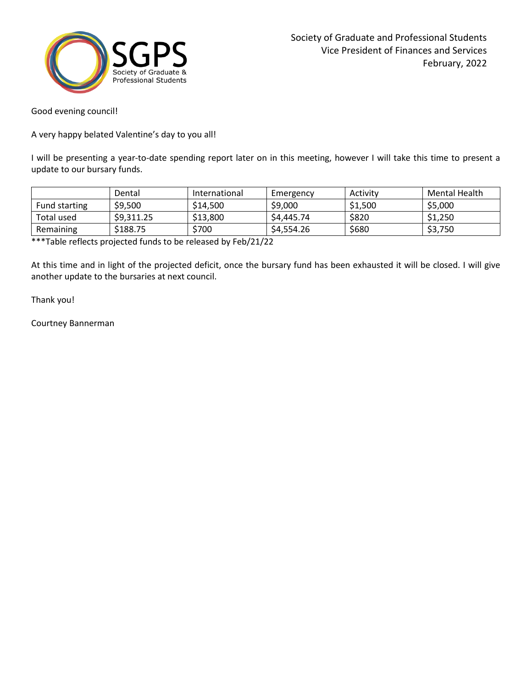

Good evening council!

A very happy belated Valentine's day to you all!

I will be presenting a year-to-date spending report later on in this meeting, however I will take this time to present a update to our bursary funds.

|               | Dental     | International | Emergency | Activity | Mental Health |
|---------------|------------|---------------|-----------|----------|---------------|
| Fund starting | \$9,500    | \$14,500      | \$9,000   | \$1,500  | \$5,000       |
| Total used    | \$9.311.25 | \$13,800      | S4.445.74 | \$820    | \$1,250       |
| Remaining     | \$188.75   | \$700         | S4.554.26 | \$680    | \$3,750       |

\*\*\*Table reflects projected funds to be released by Feb/21/22

At this time and in light of the projected deficit, once the bursary fund has been exhausted it will be closed. I will give another update to the bursaries at next council.

Thank you!

Courtney Bannerman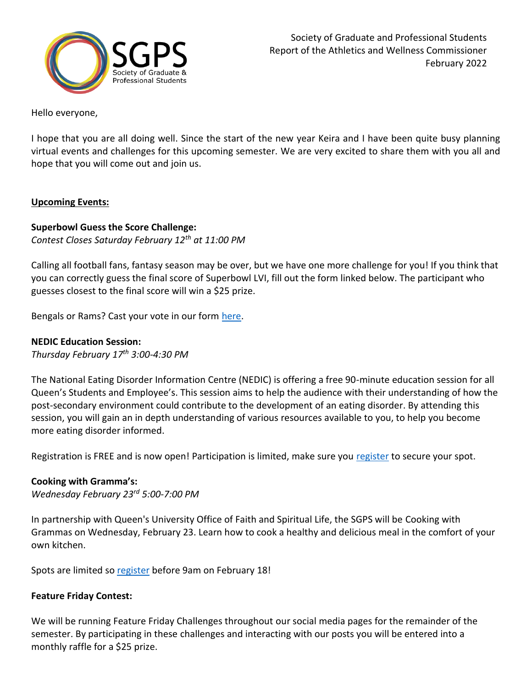

Hello everyone,

I hope that you are all doing well. Since the start of the new year Keira and I have been quite busy planning virtual events and challenges for this upcoming semester. We are very excited to share them with you all and hope that you will come out and join us.

# **Upcoming Events:**

# **Superbowl Guess the Score Challenge:**

*Contest Closes Saturday February 12th at 11:00 PM*

Calling all football fans, fantasy season may be over, but we have one more challenge for you! If you think that you can correctly guess the final score of Superbowl LVI, fill out the form linked below. The participant who guesses closest to the final score will win a \$25 prize.

Bengals or Rams? Cast your vote in our form [here.](https://forms.office.com/pages/responsepage.aspx?id=aPKMM2T7HUi15ZMx4X6StTgtrtjTaNxKgg6Wm6i4kLdUN0NRU0c4REdTVUZKVTlVSDBPMFo0NlRPVi4u)

# **NEDIC Education Session:**

*Thursday February 17 th 3:00-4:30 PM*

The National Eating Disorder Information Centre (NEDIC) is offering a free 90-minute education session for all Queen's Students and Employee's. This session aims to help the audience with their understanding of how the post-secondary environment could contribute to the development of an eating disorder. By attending this session, you will gain an in depth understanding of various resources available to you, to help you become more eating disorder informed.

Registration is FREE and is now open! Participation is limited, make sure you [register](https://forms.office.com/pages/responsepage.aspx?id=aPKMM2T7HUi15ZMx4X6StTgtrtjTaNxKgg6Wm6i4kLdUQkhJREkzUEMwTjlTUVVCSzFYOFJTM0RTTi4u) to secure your spot.

# **Cooking with Gramma's:**

*Wednesday February 23rd 5:00-7:00 PM*

In partnership with Queen's University Office of Faith and Spiritual Life, the SGPS will be Cooking with Grammas on Wednesday, February 23. Learn how to cook a healthy and delicious meal in the comfort of your own kitchen.

Spots are limited so [register](https://forms.office.com/pages/responsepage.aspx?id=aPKMM2T7HUi15ZMx4X6StTgtrtjTaNxKgg6Wm6i4kLdUNldDSjNPNUM2Q0NUU1AxUzVEQ1JINFJYMS4u) before 9am on February 18!

# **Feature Friday Contest:**

We will be running Feature Friday Challenges throughout our social media pages for the remainder of the semester. By participating in these challenges and interacting with our posts you will be entered into a monthly raffle for a \$25 prize.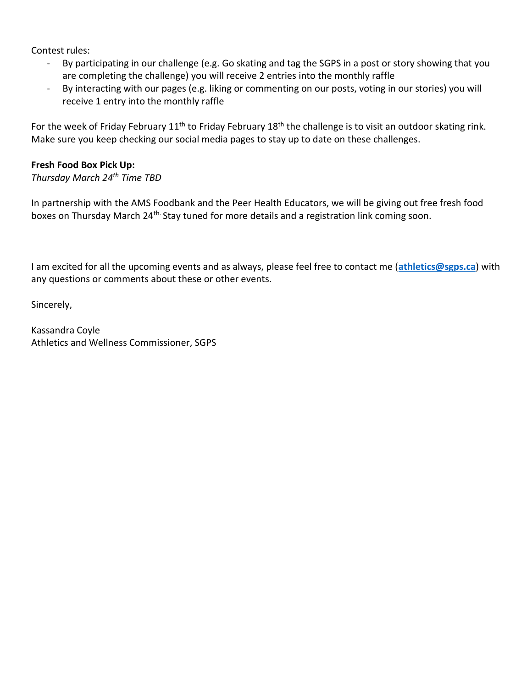Contest rules:

- By participating in our challenge (e.g. Go skating and tag the SGPS in a post or story showing that you are completing the challenge) you will receive 2 entries into the monthly raffle
- By interacting with our pages (e.g. liking or commenting on our posts, voting in our stories) you will receive 1 entry into the monthly raffle

For the week of Friday February  $11<sup>th</sup>$  to Friday February  $18<sup>th</sup>$  the challenge is to visit an outdoor skating rink. Make sure you keep checking our social media pages to stay up to date on these challenges.

# **Fresh Food Box Pick Up:**

*Thursday March 24 th Time TBD*

In partnership with the AMS Foodbank and the Peer Health Educators, we will be giving out free fresh food boxes on Thursday March 24<sup>th.</sup> Stay tuned for more details and a registration link coming soon.

I am excited for all the upcoming events and as always, please feel free to contact me (**[athletics@sgps.ca](mailto:athletics@sgps.ca)**) with any questions or comments about these or other events.

Sincerely,

Kassandra Coyle Athletics and Wellness Commissioner, SGPS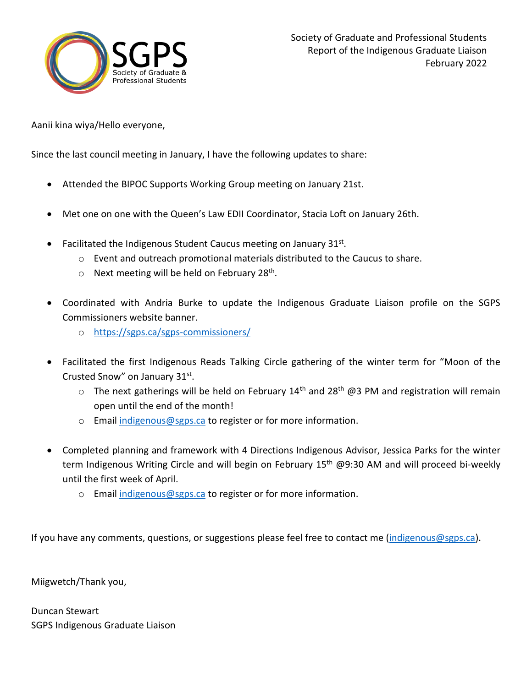

Aanii kina wiya/Hello everyone,

Since the last council meeting in January, I have the following updates to share:

- Attended the BIPOC Supports Working Group meeting on January 21st.
- Met one on one with the Queen's Law EDII Coordinator, Stacia Loft on January 26th.
- Facilitated the Indigenous Student Caucus meeting on January  $31^{st}$ .
	- $\circ$  Event and outreach promotional materials distributed to the Caucus to share.
	- $\circ$  Next meeting will be held on February 28<sup>th</sup>.
- Coordinated with Andria Burke to update the Indigenous Graduate Liaison profile on the SGPS Commissioners website banner.
	- o <https://sgps.ca/sgps-commissioners/>
- Facilitated the first Indigenous Reads Talking Circle gathering of the winter term for "Moon of the Crusted Snow" on January 31st.
	- $\circ$  The next gatherings will be held on February 14<sup>th</sup> and 28<sup>th</sup> @3 PM and registration will remain open until the end of the month!
	- o Email [indigenous@sgps.ca](mailto:indigenous@sgps.ca) to register or for more information.
- Completed planning and framework with 4 Directions Indigenous Advisor, Jessica Parks for the winter term Indigenous Writing Circle and will begin on February  $15<sup>th</sup>$  @9:30 AM and will proceed bi-weekly until the first week of April.
	- o Email [indigenous@sgps.ca](mailto:indigenous@sgps.ca) to register or for more information.

If you have any comments, questions, or suggestions please feel free to contact me [\(indigenous@sgps.ca\)](mailto:indigenous@sgps.ca).

Miigwetch/Thank you,

Duncan Stewart SGPS Indigenous Graduate Liaison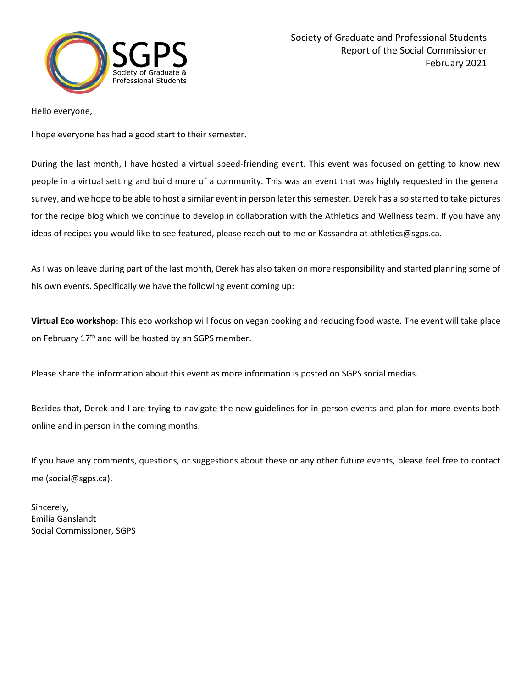

Hello everyone,

I hope everyone has had a good start to their semester.

During the last month, I have hosted a virtual speed-friending event. This event was focused on getting to know new people in a virtual setting and build more of a community. This was an event that was highly requested in the general survey, and we hope to be able to host a similar event in person later this semester. Derek has also started to take pictures for the recipe blog which we continue to develop in collaboration with the Athletics and Wellness team. If you have any ideas of recipes you would like to see featured, please reach out to me or Kassandra at athletics@sgps.ca.

As I was on leave during part of the last month, Derek has also taken on more responsibility and started planning some of his own events. Specifically we have the following event coming up:

**Virtual Eco workshop**: This eco workshop will focus on vegan cooking and reducing food waste. The event will take place on February 17<sup>th</sup> and will be hosted by an SGPS member.

Please share the information about this event as more information is posted on SGPS social medias.

Besides that, Derek and I are trying to navigate the new guidelines for in-person events and plan for more events both online and in person in the coming months.

If you have any comments, questions, or suggestions about these or any other future events, please feel free to contact me (social@sgps.ca).

Sincerely, Emilia Ganslandt Social Commissioner, SGPS